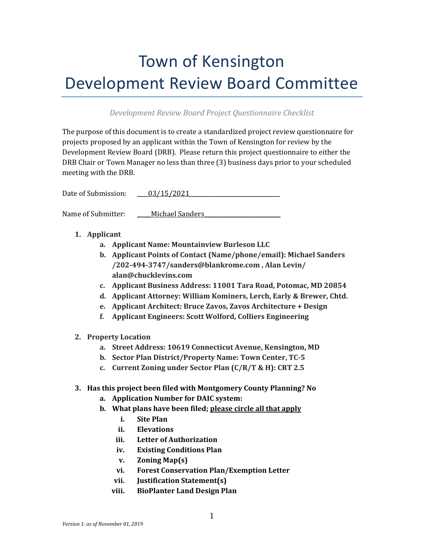## Town of Kensington Development Review Board Committee

## *Development Review Board Project Questionnaire Checklist*

The purpose of this document is to create a standardized project review questionnaire for projects proposed by an applicant within the Town of Kensington for review by the Development Review Board (DRB). Please return this project questionnaire to either the DRB Chair or Town Manager no less than three (3) business days prior to your scheduled meeting with the DRB.

Date of Submission:  $03/15/2021$ 

Name of Submitter: Michael Sanders

- **1. Applicant**
	- **a. Applicant Name: Mountainview Burleson LLC**
	- **b. Applicant Points of Contact (Name/phone/email): Michael Sanders /202-494-3747/sanders@blankrome.com , Alan Levin/ alan@chucklevins.com**
	- **c. Applicant Business Address: 11001 Tara Road, Potomac, MD 20854**
	- **d. Applicant Attorney: William Kominers, Lerch, Early & Brewer, Chtd.**
	- **e. Applicant Architect: Bruce Zavos, Zavos Architecture + Design**
	- **f. Applicant Engineers: Scott Wolford, Colliers Engineering**
- **2. Property Location**
	- **a. Street Address: 10619 Connecticut Avenue, Kensington, MD**
	- **b. Sector Plan District/Property Name: Town Center, TC-5**
	- **c. Current Zoning under Sector Plan (C/R/T & H): CRT 2.5**
- **3. Has this project been filed with Montgomery County Planning? No** 
	- **a. Application Number for DAIC system:**
	- **b. What plans have been filed; please circle all that apply**
		- **i. Site Plan**
		- **ii. Elevations**
		- **iii. Letter of Authorization**
		- **iv. Existing Conditions Plan**
		- **v. Zoning Map(s)**
		- **vi. Forest Conservation Plan/Exemption Letter**
		- **vii. Justification Statement(s)**
		- **viii. BioPlanter Land Design Plan**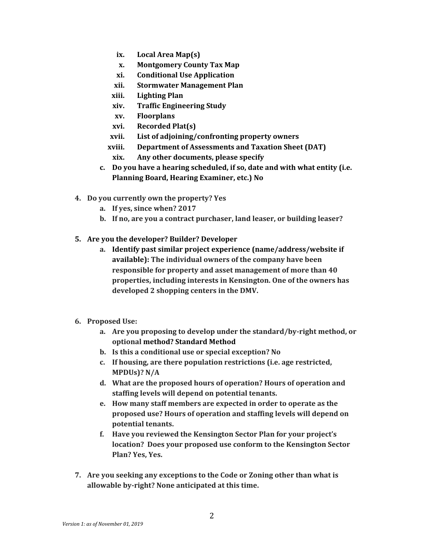- **ix. Local Area Map(s)**
- **x. Montgomery County Tax Map**
- **xi. Conditional Use Application**
- **xii. Stormwater Management Plan**
- **xiii. Lighting Plan**
- **xiv. Traffic Engineering Study**
- **xv. Floorplans**
- **xvi. Recorded Plat(s)**
- **xvii. List of adjoining/confronting property owners**
- **xviii. Department of Assessments and Taxation Sheet (DAT)**
- **xix. Any other documents, please specify**
- **c. Do you have a hearing scheduled, if so, date and with what entity (i.e. Planning Board, Hearing Examiner, etc.) No**
- **4. Do you currently own the property? Yes**
	- **a. If yes, since when? 2017**
	- **b. If no, are you a contract purchaser, land leaser, or building leaser?**
- **5. Are you the developer? Builder? Developer**
	- **a. Identify past similar project experience (name/address/website if available): The individual owners of the company have been responsible for property and asset management of more than 40 properties, including interests in Kensington. One of the owners has developed 2 shopping centers in the DMV.**
- **6. Proposed Use:**
	- **a. Are you proposing to develop under the standard/by-right method, or optional method? Standard Method**
	- **b. Is this a conditional use or special exception? No**
	- **c. If housing, are there population restrictions (i.e. age restricted, MPDUs)? N/A**
	- **d. What are the proposed hours of operation? Hours of operation and staffing levels will depend on potential tenants.**
	- **e. How many staff members are expected in order to operate as the proposed use? Hours of operation and staffing levels will depend on potential tenants.**
	- **f. Have you reviewed the Kensington Sector Plan for your project's location? Does your proposed use conform to the Kensington Sector Plan? Yes, Yes.**
- **7. Are you seeking any exceptions to the Code or Zoning other than what is allowable by-right? None anticipated at this time.**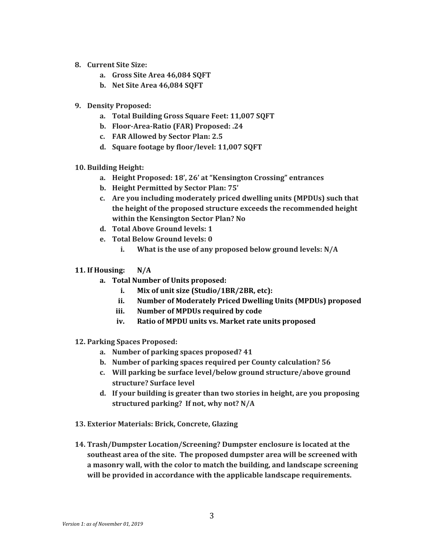- **8. Current Site Size:**
	- **a. Gross Site Area 46,084 SQFT**
	- **b. Net Site Area 46,084 SQFT**
- **9. Density Proposed:**
	- **a. Total Building Gross Square Feet: 11,007 SQFT**
	- **b. Floor-Area-Ratio (FAR) Proposed: .24**
	- **c. FAR Allowed by Sector Plan: 2.5**
	- **d. Square footage by floor/level: 11,007 SQFT**
- **10. Building Height:**
	- **a. Height Proposed: 18', 26' at "Kensington Crossing" entrances**
	- **b. Height Permitted by Sector Plan: 75'**
	- **c. Are you including moderately priced dwelling units (MPDUs) such that the height of the proposed structure exceeds the recommended height within the Kensington Sector Plan? No**
	- **d. Total Above Ground levels: 1**
	- **e. Total Below Ground levels: 0**
		- **i. What is the use of any proposed below ground levels: N/A**
- **11. If Housing: N/A** 
	- **a. Total Number of Units proposed:**
		- **i. Mix of unit size (Studio/1BR/2BR, etc):**
		- **ii. Number of Moderately Priced Dwelling Units (MPDUs) proposed**
		- **iii. Number of MPDUs required by code**
		- **iv. Ratio of MPDU units vs. Market rate units proposed**
- **12. Parking Spaces Proposed:** 
	- **a. Number of parking spaces proposed? 41**
	- **b. Number of parking spaces required per County calculation? 56**
	- **c. Will parking be surface level/below ground structure/above ground structure? Surface level**
	- **d. If your building is greater than two stories in height, are you proposing structured parking? If not, why not? N/A**
- **13. Exterior Materials: Brick, Concrete, Glazing**
- **14. Trash/Dumpster Location/Screening? Dumpster enclosure is located at the southeast area of the site. The proposed dumpster area will be screened with a masonry wall, with the color to match the building, and landscape screening will be provided in accordance with the applicable landscape requirements.**